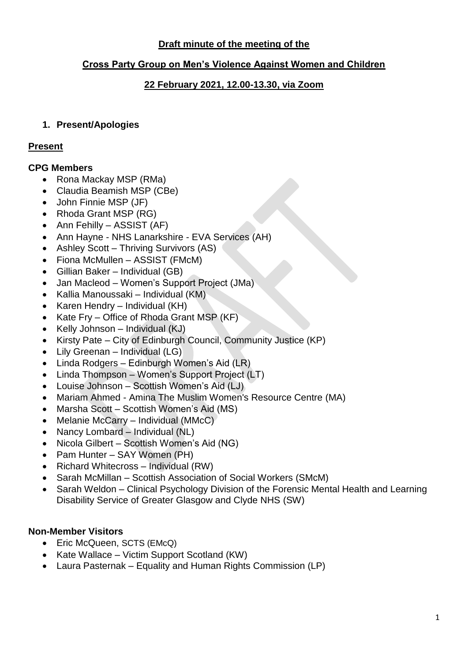# **Draft minute of the meeting of the**

## **Cross Party Group on Men's Violence Against Women and Children**

## **22 February 2021, 12.00-13.30, via Zoom**

## **1. Present/Apologies**

#### **Present**

#### **CPG Members**

- Rona Mackay MSP (RMa)
- Claudia Beamish MSP (CBe)
- John Finnie MSP (JF)
- Rhoda Grant MSP (RG)
- Ann Fehilly ASSIST (AF)
- Ann Hayne NHS Lanarkshire EVA Services (AH)
- Ashley Scott Thriving Survivors (AS)
- Fiona McMullen ASSIST (FMcM)
- Gillian Baker Individual (GB)
- Jan Macleod Women's Support Project (JMa)
- Kallia Manoussaki Individual (KM)
- Karen Hendry Individual (KH)
- Kate Fry Office of Rhoda Grant MSP (KF)
- Kelly Johnson Individual  $(KJ)$
- Kirsty Pate City of Edinburgh Council, Community Justice (KP)
- Lily Greenan Individual (LG)
- Linda Rodgers Edinburgh Women's Aid (LR)
- Linda Thompson Women's Support Project (LT)
- Louise Johnson Scottish Women's Aid (LJ)
- Mariam Ahmed Amina The Muslim Women's Resource Centre (MA)
- Marsha Scott Scottish Women's Aid (MS)
- Melanie McCarry Individual (MMcC)
- Nancy Lombard Individual (NL)
- Nicola Gilbert Scottish Women's Aid (NG)
- Pam Hunter SAY Women (PH)
- Richard Whitecross Individual (RW)
- Sarah McMillan Scottish Association of Social Workers (SMcM)
- Sarah Weldon Clinical Psychology Division of the Forensic Mental Health and Learning Disability Service of Greater Glasgow and Clyde NHS (SW)

## **Non-Member Visitors**

- Eric McQueen, SCTS (EMcQ)
- Kate Wallace Victim Support Scotland (KW)
- Laura Pasternak Equality and Human Rights Commission (LP)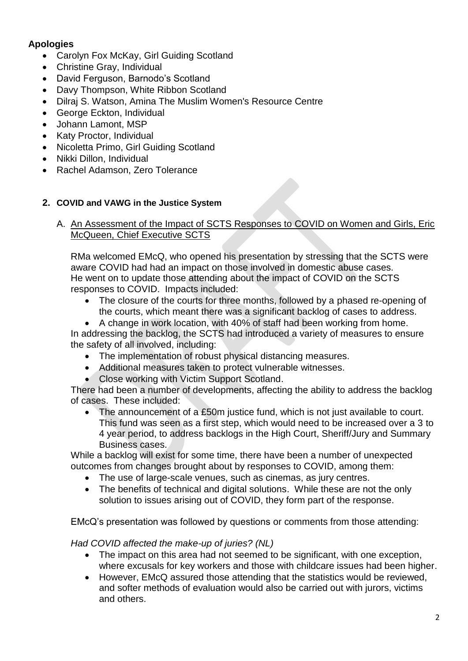# **Apologies**

- Carolyn Fox McKay, Girl Guiding Scotland
- Christine Gray, Individual
- David Ferguson, Barnodo's Scotland
- Davy Thompson, White Ribbon Scotland
- Dilraj S. Watson, Amina The Muslim Women's Resource Centre
- George Eckton, Individual
- Johann Lamont, MSP
- Katy Proctor, Individual
- Nicoletta Primo, Girl Guiding Scotland
- Nikki Dillon, Individual
- Rachel Adamson, Zero Tolerance

## **2. COVID and VAWG in the Justice System**

A. An Assessment of the Impact of SCTS Responses to COVID on Women and Girls, Eric McQueen, Chief Executive SCTS

RMa welcomed EMcQ, who opened his presentation by stressing that the SCTS were aware COVID had had an impact on those involved in domestic abuse cases. He went on to update those attending about the impact of COVID on the SCTS responses to COVID. Impacts included:

- The closure of the courts for three months, followed by a phased re-opening of the courts, which meant there was a significant backlog of cases to address.
- A change in work location, with 40% of staff had been working from home.

In addressing the backlog, the SCTS had introduced a variety of measures to ensure the safety of all involved, including:

- The implementation of robust physical distancing measures.
- Additional measures taken to protect vulnerable witnesses.
- Close working with Victim Support Scotland.

There had been a number of developments, affecting the ability to address the backlog of cases. These included:

The announcement of a £50m justice fund, which is not just available to court. This fund was seen as a first step, which would need to be increased over a 3 to 4 year period, to address backlogs in the High Court, Sheriff/Jury and Summary Business cases.

While a backlog will exist for some time, there have been a number of unexpected outcomes from changes brought about by responses to COVID, among them:

- The use of large-scale venues, such as cinemas, as jury centres.
- The benefits of technical and digital solutions. While these are not the only solution to issues arising out of COVID, they form part of the response.

EMcQ's presentation was followed by questions or comments from those attending:

## *Had COVID affected the make-up of juries? (NL)*

- The impact on this area had not seemed to be significant, with one exception, where excusals for key workers and those with childcare issues had been higher.
- However, EMcQ assured those attending that the statistics would be reviewed, and softer methods of evaluation would also be carried out with jurors, victims and others.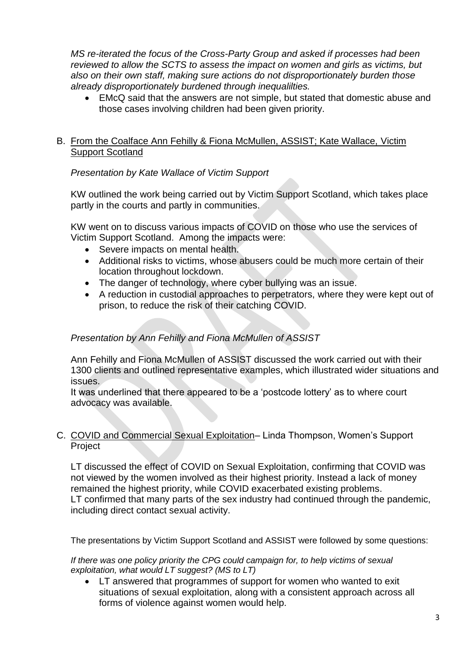*MS re-iterated the focus of the Cross-Party Group and asked if processes had been reviewed to allow the SCTS to assess the impact on women and girls as victims, but also on their own staff, making sure actions do not disproportionately burden those already disproportionately burdened through inequalilties.*

• EMcQ said that the answers are not simple, but stated that domestic abuse and those cases involving children had been given priority.

## B. From the Coalface Ann Fehilly & Fiona McMullen, ASSIST; Kate Wallace, Victim Support Scotland

# *Presentation by Kate Wallace of Victim Support*

KW outlined the work being carried out by Victim Support Scotland, which takes place partly in the courts and partly in communities.

KW went on to discuss various impacts of COVID on those who use the services of Victim Support Scotland. Among the impacts were:

- Severe impacts on mental health.
- Additional risks to victims, whose abusers could be much more certain of their location throughout lockdown.
- The danger of technology, where cyber bullying was an issue.
- A reduction in custodial approaches to perpetrators, where they were kept out of prison, to reduce the risk of their catching COVID.

# *Presentation by Ann Fehilly and Fiona McMullen of ASSIST*

Ann Fehilly and Fiona McMullen of ASSIST discussed the work carried out with their 1300 clients and outlined representative examples, which illustrated wider situations and issues.

It was underlined that there appeared to be a 'postcode lottery' as to where court advocacy was available.

## C. COVID and Commercial Sexual Exploitation– Linda Thompson, Women's Support Project

LT discussed the effect of COVID on Sexual Exploitation, confirming that COVID was not viewed by the women involved as their highest priority. Instead a lack of money remained the highest priority, while COVID exacerbated existing problems. LT confirmed that many parts of the sex industry had continued through the pandemic, including direct contact sexual activity.

The presentations by Victim Support Scotland and ASSIST were followed by some questions:

*If there was one policy priority the CPG could campaign for, to help victims of sexual exploitation, what would LT suggest? (MS to LT)*

• LT answered that programmes of support for women who wanted to exit situations of sexual exploitation, along with a consistent approach across all forms of violence against women would help.